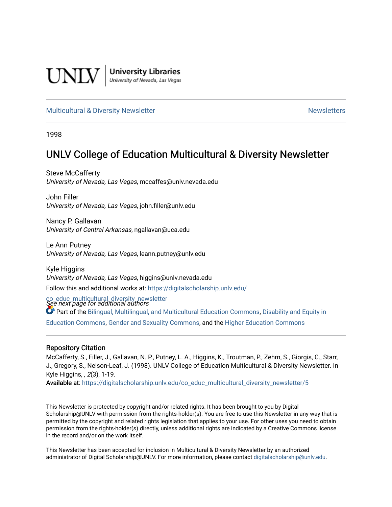

**University Libraries**<br>University of Nevada, Las Vegas

#### [Multicultural & Diversity Newsletter](https://digitalscholarship.unlv.edu/co_educ_multicultural_diversity_newsletter) Newsletter [Newsletters](https://digitalscholarship.unlv.edu/co_educ_newsletters) Newsletters

1998

# UNLV College of Education Multicultural & Diversity Newsletter

Steve McCafferty University of Nevada, Las Vegas, mccaffes@unlv.nevada.edu

John Filler University of Nevada, Las Vegas, john.filler@unlv.edu

Nancy P. Gallavan University of Central Arkansas, ngallavan@uca.edu

Le Ann Putney University of Nevada, Las Vegas, leann.putney@unlv.edu

Kyle Higgins University of Nevada, Las Vegas, higgins@unlv.nevada.edu Follow this and additional works at: [https://digitalscholarship.unlv.edu/](https://digitalscholarship.unlv.edu/co_educ_multicultural_diversity_newsletter?utm_source=digitalscholarship.unlv.edu%2Fco_educ_multicultural_diversity_newsletter%2F5&utm_medium=PDF&utm_campaign=PDFCoverPages)

co\_educ\_multicultural\_diversity\_newsletter<br>See next page for additional authors

Part of the [Bilingual, Multilingual, and Multicultural Education Commons,](http://network.bepress.com/hgg/discipline/785?utm_source=digitalscholarship.unlv.edu%2Fco_educ_multicultural_diversity_newsletter%2F5&utm_medium=PDF&utm_campaign=PDFCoverPages) [Disability and Equity in](http://network.bepress.com/hgg/discipline/1040?utm_source=digitalscholarship.unlv.edu%2Fco_educ_multicultural_diversity_newsletter%2F5&utm_medium=PDF&utm_campaign=PDFCoverPages) 

[Education Commons,](http://network.bepress.com/hgg/discipline/1040?utm_source=digitalscholarship.unlv.edu%2Fco_educ_multicultural_diversity_newsletter%2F5&utm_medium=PDF&utm_campaign=PDFCoverPages) [Gender and Sexuality Commons](http://network.bepress.com/hgg/discipline/420?utm_source=digitalscholarship.unlv.edu%2Fco_educ_multicultural_diversity_newsletter%2F5&utm_medium=PDF&utm_campaign=PDFCoverPages), and the [Higher Education Commons](http://network.bepress.com/hgg/discipline/1245?utm_source=digitalscholarship.unlv.edu%2Fco_educ_multicultural_diversity_newsletter%2F5&utm_medium=PDF&utm_campaign=PDFCoverPages)

#### Repository Citation

McCafferty, S., Filler, J., Gallavan, N. P., Putney, L. A., Higgins, K., Troutman, P., Zehm, S., Giorgis, C., Starr, J., Gregory, S., Nelson-Leaf, J. (1998). UNLV College of Education Multicultural & Diversity Newsletter. In Kyle Higgins, , 2(3), 1-19.

Available at: [https://digitalscholarship.unlv.edu/co\\_educ\\_multicultural\\_diversity\\_newsletter/5](https://digitalscholarship.unlv.edu/co_educ_multicultural_diversity_newsletter/5)

This Newsletter is protected by copyright and/or related rights. It has been brought to you by Digital Scholarship@UNLV with permission from the rights-holder(s). You are free to use this Newsletter in any way that is permitted by the copyright and related rights legislation that applies to your use. For other uses you need to obtain permission from the rights-holder(s) directly, unless additional rights are indicated by a Creative Commons license in the record and/or on the work itself.

This Newsletter has been accepted for inclusion in Multicultural & Diversity Newsletter by an authorized administrator of Digital Scholarship@UNLV. For more information, please contact [digitalscholarship@unlv.edu.](mailto:digitalscholarship@unlv.edu)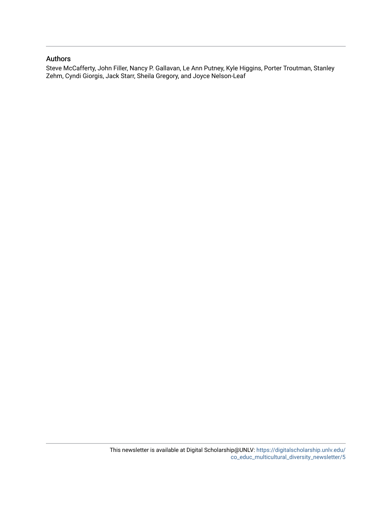#### Authors

Steve McCafferty, John Filler, Nancy P. Gallavan, Le Ann Putney, Kyle Higgins, Porter Troutman, Stanley Zehm, Cyndi Giorgis, Jack Starr, Sheila Gregory, and Joyce Nelson-Leaf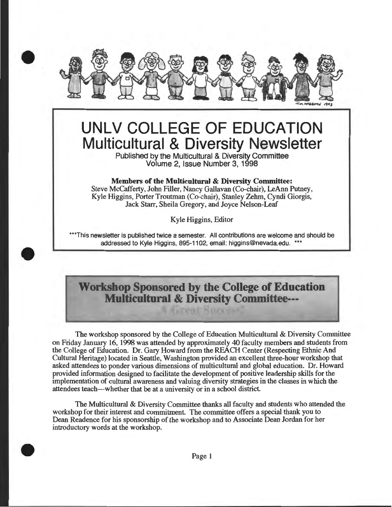

# **UNLV COLLEGE OF EDUCATION Multicultural & Diversity Newsletter**

Published by the Multicultural & Diversity Committee Volume 2, Issue Number 3, 1998

#### Members of the Multicultural & Diversity Committee:

Steve McCafferty, John Filler, Nancy Gallavan (Co-chair), LeAnn Putney, Kyle Higgins, Porter Troutman (Co-chair), Stanley Zehm, Cyndi Giorgis, Jack Starr, Sheila Gregory, and Joyce Nelson-Leaf

Kyle Higgins, Editor

\*\*\*This newsletter is published twice a semester. All contributions are welcome and should be addressed to Kyle Higgins, 895-1102, email: higgins@nevada.edu. \*\*\*

•

•

# **Workshop Sponsored by the College of Education Multicultural & Diversity Committee---**

**A AUTORE SOCIOSS** 

The workshop sponsored by the College of Education Multicultural & Diversity Committee on Friday January 16, 1998 was attended by approximately 40 faculty members and students from the College of Education. Dr. Gary Howard from the REACH Center (Respecting Ethnic And Cultural Heritage) located in Seattle, Washington provided an excellent three-hour workshop that asked attendees to ponder various dimensions of multicultural and global education. Dr. Howard provided information designed to facilitate the development of positive leadership skills for the implementation of cultural awareness and valuing diversity strategies in the classes in which the attendees teach---whether that be at a university or in a school district

The Multicultural & Diversity Committee thanks all faculty and students who attended the workshop for their interest and commitment. The committee offers a special thank you to Dean Readence for his sponsorship of the workshop and to Associate Dean Jordan for her introductory words at the workshop.

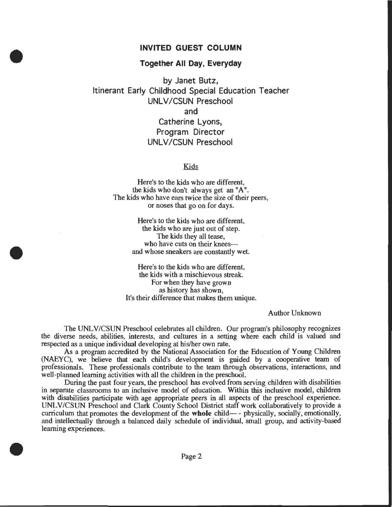#### INVITED GUEST COLUMN

#### Together All Day, Everyday

•

•

•

by Janet Butz, Itinerant Early Childhood Special Education Teacher UNLV /CSUN Preschool and Catherine Lyons, Program Director UNLV/CSUN Preschool

#### **Kids**

Here's to the kids who are different, the kids who don't always get an "A". The kids who have ears twice the size of their peers, or noses that go on for days.

> Here's to the kids who are different, the kids who are just out of step. The kids they all tease, who have cuts on their knees-- and whose sneakers are constantly wet.

Here's to the kids who are different, the kids with a mischievous streak. For when they have grown as history has shown, It's their difference that makes them unique.

Author Unknown

The UNL V/CSUN Preschool celebrates all children. Our program's philosophy recognizes the diverse needs, abilities, interests, and cultures in a setting where each child is valued and respected as a unique individual developing at his/her own rate.

As a program accredited by the National Association for the Education of Young Children (NAEYC), we believe that each child's development is guided by a cooperative team of professionals. These professionals contribute to the team through observations, interactions, and well-planned learning activities with all the children in the preschool.

During the past four years, the preschool has evolved from serving children with disabilities in separate classrooms to an inclusive model of education. Within this inclusive model, children with disabilities participate with age appropriate peers in all aspects of the preschool experience. UNLV /CSUN Preschool and Clark County School District staff work collaboratively to provide a curriculum that promotes the development of the whole child--- - physically, socially, emotionally, and intellectually through a balanced daily schedule of individual, small group, and activity-based learning experiences.

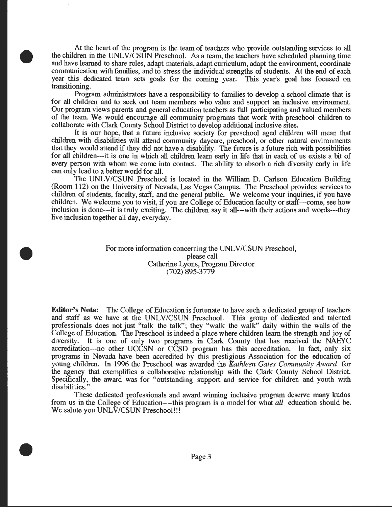At the heart of the program is the team of teachers who provide outstanding services to all the children in the UNLV/CSUN Preschool. As a team, the teachers have scheduled planning time and have learned to share roles, adapt materials, adapt curriculum, adapt the environment, coordinate communication with families, and to stress the individual strengths of students. At the end of each year this dedicated team sets goals for the coming year. This year's goal has focused on transitioning.

•

•

•

Program administrators have a responsibility to families to develop a school climate that is for all children and to seek out team members who value and support an inclusive environment. Our program views parents and general education teachers as full participating and valued members of the team. We would encourage all community programs that work with preschool children to collaborate with Oark County School District to develop additional inclusive sites.

It is our hope, that a future inclusive society for preschool aged children will mean that children with disabilities will attend community daycare, preschool, or other natural environments that they would attend if they did not have a disability. The future is a future rich with possibilities for all children---it is one in which all children learn early in life that in each of us exists a bit of every person with whom we come into contact. The ability to absorb a rich diversity early in life can only lead to a better world for all.

The UNLV/CSUN Preschool is located in the William D. Carlson Education Building (Room 112) on the University of Nevada, Las Vegas Campus. The Preschool provides services to children of students, faculty, staff, and the general public. We welcome your inquiries, if you have children. We welcome you to visit, if you are College of Education faculty or staff---come, see how inclusion is done---it is truly exciting. The children say it all---with their actions and words---they live inclusion together all day, everyday.

> For more information concerning the UNLV/CSUN Preschool, please call Catherine Lyons, Program Director (702) 895-3779

**Editor's Note:** The College of Education is fortunate to have such a dedicated group of teachers and staff as we have at the UNLV/CSUN Preschool. This group of dedicated and talented professionals does not just "talk the talk"; they "walk the walk" daily within the walls of the College of Education. The Preschool is indeed a place where children learn the strength and joy of diversity. It is one of only two programs in Clark County that has received the NAEYC accreditation---no other UCCSN or CCSD program has this accreditation. In fact, only six programs in Nevada have been accredited by this prestigious Association for the education of young children. In 1996 the Preschool was awarded the *Kathleen Gates Community Award* for the agency that exemplifies a collaborative relationship with the Clark County School District. Specifically, the award was for "outstanding support and service for children and youth with disabilities."

These dedicated professionals and award winning inclusive program deserve many kudos from us in the College of Education----this program is a model for what *all* education should be. We salute you UNLV/CSUN Preschool!!!

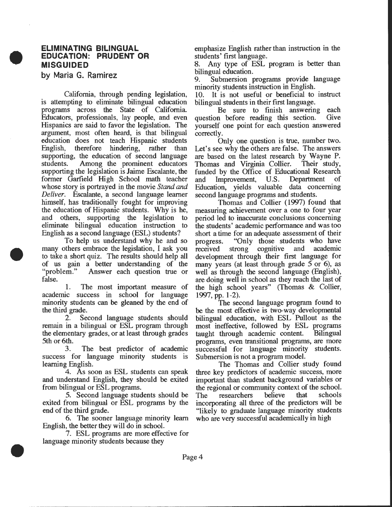#### **ELIMINATING BILINGUAL EDUCATION: PRUDENT OR MISGUIDED**

**by Maria G. Ramirez** 

•

•

•

California, through pending legislation, is attempting to eliminate bilingual education programs across the State of California Educators, professionals, lay people, and even Hispanics are said to favor the legislation. The argument, most often heard, is that bilingual education does not teach Hispanic students English, therefore hindering, rather than supporting, the education of second language students. Among the prominent educators supporting the legislation is Jaime Escalante, the former Garfield High School math teacher whose story is portrayed in the movie *Stand and Deliver.* Escalante, a second language learner himself, has traditionally fought for improving the education of Hispanic students. Why is he, and others, supporting the legislation to eliminate bilingual education instruction to English as a second language (ESL) students?

To help us understand why he and so many others embrace the legislation, I ask you to take a short quiz. The results should help all of us gain a better understanding of the "problem." Answer each question true or Answer each question true or false.

1. The most important measure of academic success in school for language minority students can be gleaned by the end of the third grade.

2. Second language students should remain in a bilingual or ESL program through the elementary grades, or at least through grades 5th or 6th.

3. The best predictor of academic success for language minority students is learning English.

4. As soon as ESL students can speak and understand English, they should be exited from bilingual or ESL programs.

5. Second language students should be exited from bilingual or ESL programs by the end of the third grade.

6. The sooner language minority learn English, the better they will do in school.

7. ESL programs are more effective for language minority students because they

emphasize English rather than instruction in the students' first language.

8. Any type of ESL program is better than bilingual education.

9. Submersion programs provide language minority students instruction in English.

10. It is not useful or beneficial to instruct bilingual students in their first language.

Be sure to finish answering each question before reading this section. Give yourself one point for each question answered correctly.

Only one question is true, number two. Let's see why the others are false. The answers are based on the latest research by Wayne P. Thomas and Virginia Collier. Their study, funded by the Office of Educational Research and Improvement, U.S. Department of Education, yields valuable data concerning second language programs and students.

Thomas and Collier (1997) found that measuring achievement over a one to four year period led to inaccurate conclusions concerning the students' academic petformance and was too short a time for an adequate assessment of their progress. "Only those students who have received strong cognitive and academic development through their first language for many years (at least through grade 5 or 6), as well as through the second language (English), are doing well in school as they reach the last of the high school years" (Thomas & Collier, 1997, pp. 1-2).

The second language program found to be the most effective is two-way developmental bilingual education, with ESL Pullout as the most ineffective, followed by ESL programs taught through academic content. Bilingual programs, even transitional programs, are more successful for language minority students. Submersion is not a program model.

The Thomas and Collier study found three key predictors of academic success, more important than student background variables or the regional or community context of the school.<br>The researchers believe that schools The researchers believe that incorporating all three of the predictors will be "likely to graduate language minority students who are very successful academically in high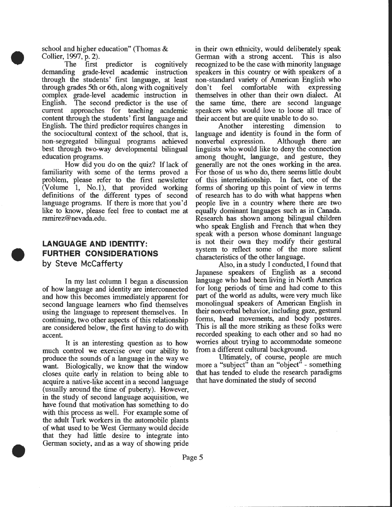school and higher education" (Thomas & Collier, 1997, p. 2).

•

•

•

The first predictor is cognitively demanding grade-level academic instruction through the students' first language, at least through grades 5th or 6th, along with cognitively complex grade-level academic instruction in English. The second predictor is the use of current approaches for teaching academic content through the students' first language and English. The third predictor requires changes in the sociocultural context of the school, that is, non-segregated bilingual programs achieved best through two-way developmental bilingual education programs.

How did you do on the quiz? If lack of familiarity with some of the terms proved a problem, please refer to the first newsletter (Volume 1, No.1), that provided working definitions of the different types of second language programs. If there is more that you'd like to know, please feel free to contact me at ramirez@nevada.edu.

# **LANGUAGE AND IDENTITY: FURTHER CONSIDERATIONS by Steve McCafferty**

In my last column I began a discussion of how language and identity are interconnected and how this becomes immediately apparent for second language learners who find themselves using the language to represent themselves. In continuing, two other aspects of this relationship are considered below, the first having to do with accent.

It is an interesting question as to how much control we exercise over our ability to produce the sounds of a language in the way we want. Biologically, we know that the window closes quite early in relation to being able to acquire a native-like accent in a second language (usually around the time of puberty). However, in the study of second language acquisition, we have found that motivation has something to do with this process as well. For example some of the adult Turk workers in the automobile plants of what used to be West Germany would decide that they had little desire to integrate into German society, and as a way of showing pride

in their own ethnicity, would deliberately speak German with a strong accent. This is also recognized to be the case with minority language speakers in this country or with speakers of a non-standard variety of American English who don't feel comfortable with expressing themselves in other than their own dialect. At the same time, there are second language speakers who would love to loose all trace of their accent but are quite unable to do so.<br>Another interesting dimensional

interesting dimension to language and identity is found in the form of<br>nonverbal expression. Although there are nonverbal expression. linguists who would like to deny the connection among thought, language, and gesture, they generally are not the ones working in the area. For those of us who do, there seems little doubt of this interrelationship. In fact, one of the forms of shoring up this point of view in terms of research has to do with what happens when people live in a country where there are two equally dominant languages such as in Canada. Research has shown among bilingual children who speak English and French that when they speak with a person whose dominant language is not their own they modify their gestural system to reflect some of the more salient characteristics of the other language.

Also, in a study I conducted, I found that Japanese speakers of English as a second language who had been living in North America for long periods of time and had come to this part of the world as adults, were very much like monolingual speakers of American English in their nonverbal behavior, including gaze, gestural forms, head movements, and body postures. This is all the more striking as these folks were recorded speaking to each other and so had no worries about trying to accommodate someone from a different cultural background.

Ultimately, of course, people are much more a "subject" than an "object" - something that has tended to elude the research paradigms that have dominated the study of second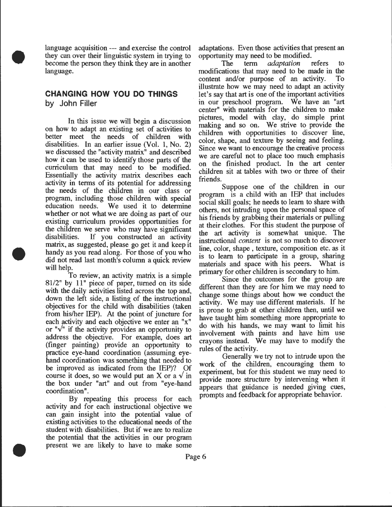language acquisition --- and exercise the control they can over their linguistic system in trying to become the person they think they are in another language.

•

•

•

# **CHANGING HOW YOU DO THINGS by John Filler**

In this issue we will begin a discussion on how to adapt an existing set of activities to better meet the needs of children with disabilities. In an earlier issue (Vol. 1, No. 2) we discussed the "activity matrix" and described how it can be used to identify those parts of the curriculum that may need to be modified. Essentially the activity matrix describes each activity in terms of its potential for addressing the needs of the children in our class or program, including those children with special education needs. We used it to determine whether or not what we are doing as part of our existing curriculum provides opportunities for the children we serve who may have sigmficant disabilities. If you constructed an activity matrix, as suggested, please go get it and keep it handy as you read along. For those of you who did not read last month's column a quick review will help.<br>To review, an activity matrix is a simple

 $81/2$ " by  $11$ " piece of paper, turned on its side with the daily activities listed across the top and, down the left side, a listing of the instructional objectives for the child with disabilities (taken from his/her IEP). At the point of juncture for each activity and each objective we enter an " $x"$ or " $\sqrt{ }$ " if the activity provides an opportunity to address the objective. For example, does art (finger painting) provide an opportunity to practice eye-hand coordination (assuming eyehand coordination was something that needed to be improved as indicated from the IEP)? Of course it does, so we would put an X or a  $\sqrt{m}$ the box under "art" and out from "eye-hand coordination".

By repeating this process for each activity and for each instructional objective we can gain insight into the potential value of existing activities to the educational needs of the student with disabilities. But if we are to realize the potential that the activities in our program present we are likely to have to make some

adaptations. Even those activities that present an opportunity may need to be modified.<br>The term *adaptation* 

The term *adaptation* refers to modifications that may need to be made in the content and/or purpose of an activity. To illustrate how we may need to adapt an activity let's say that art is one of the important activities in our preschool program. We have an "art center" with materials for the children to make pictures, model with clay, do simple print making and so on. We strive to provide the children with opportunities to discover line, color, shape, and texture by seeing and feeling. Since we want to encourage the creative process we are careful not to place too much emphasis on the finished product. In the art center children sit at tables with two or three of their friends.

Suppose one of the children in our program is a child with an IEP that includes social skill goals; he needs to learn to share with others, not intruding upon the personal space of his friends by grabbing their materials or pulling at their clothes. For this student the purpose of the art activity is somewhat unique. The instructional *content* is not so much to discover line, color, shape, texture, composition etc. as it is to learn to participate in a group, sharing materials and space with his peers. What is primary for other children is secondary to him.

Since the outcomes for the group are different than they are for him we may need to change some things about how we conduct the activity. We may use different materials. If he is prone to grab at other children then, until we have taught him something more appropriate to do with his hands, we may want to limit his involvement with paints and have him use crayons instead. We may have to modify the rules of the activity.

Generally we try not to intrude upon the work of the children, encouraging them to experiment, but for this student we may need to provide more structure by intervening when it appears that guidance is needed giving cues, prompts and feedback for appropriate behavior.

Page 6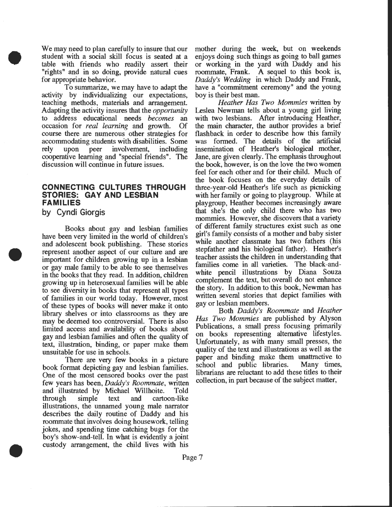We may need to plan carefully to insure that our student with a social skill focus is seated at a table with friends who readily assert their "rights" and in so doing, provide natural cues for appropriate behavior.

To summarize, we may have to adapt the activity by individualizing our expectations, teaching methods, materials and arrangement. Adapting the activity insures that the *opportunity*  to address educational needs *becomes* an occasion for *real learning* and growth. Of course there are numerous other strategies for accommodating students with disabilities. Some rely upon peer involvement, including cooperative learning and "special friends". The discussion will continue in future issues.

### **CONNECTING CULTURES THROUGH STORIES: GAY AND LESBIAN FAMILIES**

**by Cyndi Giorgis** 

•

•

•

Books about gay and lesbian families have been very limited in the world of children's and adolescent book publishing. These stories represent another aspect of our culture and are important for children growing up in a lesbian or gay male family to be able to see themselves in the books that they read. In addition, children growing up in heterosexual families will be able to see diversity in books that represent all types of families in our world today. However, most of these types of books will never make it onto library shelves or into classrooms as they are may be deemed too controversial. There is also limited access and availability of books about gay and lesbian families and often the quality of text, illustration, binding, or paper make them unsuitable for use in schools.

There are very few books in a picture book format depicting gay and lesbian families. One of the most censored books over the past few years has been, *Daddy's Roommate,* written and illustrated by Michael Willhoite. Told through simple text and cartoon-like illustrations, the unnamed young male narrator describes the daily routine of Daddy and his roommate that involves doing housework, telling jokes, and spending time catching bugs for the boy's show-and-tell. In what is evidently a joint custody arrangement, the child lives with his

mother during the week, but on weekends enjoys doing such things as going to ball games or working in the yard with Daddy and his roommate, Frank. A sequel to this book is, *Daddy's Wedding* in which Daddy and Frank, have a "commitment ceremony" and the young boy is their best man.

*Heather Has Two Mommies* written by Leslea Newman tells about a young girl living with two lesbians. After introducing Heather, the main character, the author provides a brief flashback in order to describe how this family was formed. The details of the artificial insemination of Heather's biological mother, Jane, are given clearly. The emphasis throughout the book, however, is on the love the two women feel for each other and for their child. Much of the book focuses on the everyday details of three-year-old Heather's life such as picnicking with her family or going to playgroup. While at playgroup, Heather becomes increasingly aware that she's the only child there who has two mommies. However, she discovers that a variety of different family structures exist such as one girl's family consists of a mother and baby sister while another classmate has two fathers (his stepfather and his biological father). Heather's teacher assists the children in understanding that families come in all varieties. The black-andwhite pencil illustrations by Diana Souza complement the text, but overall do not enhance the story. In addition to this book, Newman has written several stories that depict families with gay or lesbian members.

Both *Daddy's Roommate* and *Heather Has Two Mommies* are published by Alyson Publications, a small press focusing primarily on books representing alternative lifestyles. Unfortunately, as with many small presses, the quality of the text and illustrations as well as the paper and binding make them unattractive to school and public libraries. Many times, librarians are reluctant to add these titles to their collection, in part because of the subject matter,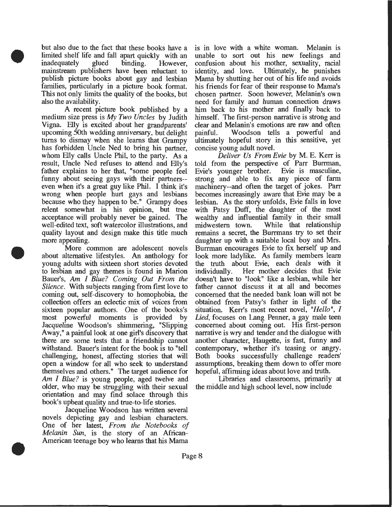but also due to the fact that these books have a limited shelf life and fall apart quickly with an inadequately glued binding. However, mainstream publishers have been reluctant to publish picture books about gay and lesbian families, particularly in a picture book format. This not only limits the quality of the books, but also the availability.

•

•

•

A recent picture book published by a medium size press is *My Two Uncles* by Judith Vigna. Elly is excited about her grandparents' upcoming 50th wedding anniversary, but delight turns to dismay when she learns that Grampy has forbidden Uncle Ned to bring his partner, whom Elly calls Uncle Phil, to the party. As a result, Uncle Ned refuses to attend and Elly's father explains to her that, "some people feel funny about seeing gays with their partners- even when it's a great guy like Phil. I think it's wrong when people hurt gays and lesbians because who they happen to be." Grampy does relent somewhat in his opinion, but true acceptance will probably never be gained. The well-edited text, soft watercolor illustrations, and quality layout and design make this title much more appealing.

More common are adolescent novels about alternative lifestyles. An anthology for young adults with sixteen short stories devoted to lesbian and gay themes is found in Marion Bauer's, *Am* I *Blue? Coming Out From the Silence.* With subjects ranging from first love to coming out, self-discovery to homophobia, the collection offers an eclectic mix of voices from sixteen popular authors. One of the books's most powerful moments is provided by Jacqueline Woodson's shimmering, "Slipping Away," a painful look at one girl's discovery that there are some tests that a friendship cannot withstand. Bauer's intent for the book is to "tell challenging, honest, affecting stories that will open a window for all who seek to understand themselves and others." The target audience for *Am I Blue?* is young people, aged twelve and older, who may be struggling with their sexual orientation and may find solace through this book's upbeat quality and true-to-life stories.

Jacqueline Woodson has written several novels depicting gay and lesbian characters. One of her latest, *From the Notebooks of Melanin Sun,* is the story of an African-American teenage boy who learns that his Mama

is in love with a white woman. Melanin is unable to sort out his new feelings and confusion about his mother, sexuality, racial identity, and love. Ultimately, he punishes Ultimately, he punishes. Mama by shutting her out of his life and avoids his friends for fear of their response to Mama's chosen partner. Soon however, Melanin's own need for family and human connection draws him back to his mother and finally back to himself. The first-person narrative is strong and clear and Melanin's emotions are raw and often painful. Woodson tells a powerful and ultimately hopeful story in this sensitive, yet concise young adult novel.

*Deliver Us From Evie* by M. E. Kerr is told from the perspective of Parr Burrman,<br>Evie's vounger brother. Evie is masculine, Evie's younger brother. strong and able to fix any piece of farm machinery--and often the target of jokes. Parr becomes increasingly aware that Evie may be a lesbian. As the story unfolds, Evie falls in love with Patsy Duff, the daughter of the most wealthy and influential family in their small midwestern town. While that relationship remains a secret, the Burrmans try to set their daughter up with a suitable local boy and Mrs. Burrman encourages Evie to fix herself up and look more ladylike. As family members learn the truth about Evie, each deals with it individually. Her mother decides that Evie doesn't have to "look" like a lesbian, while her father cannot discuss it at all and becomes concerned that the needed bank loan will not be obtained from Patsy's father in light of the situation. Kerr's most recent novel, *"Hello",* I *Lied,* focuses on Lang Penner, a gay male teen concerned about coming out. His first-person narrative is wry and tender and the dialogue with another character, Haugette, is fast, funny and contemporary, whether it's teasing or angry. Both books successfully challenge readers' assumptions, breaking them down to offer more hopeful, affirming ideas about love and truth.

Libraries and classrooms, primarily at the middle and high school level, now include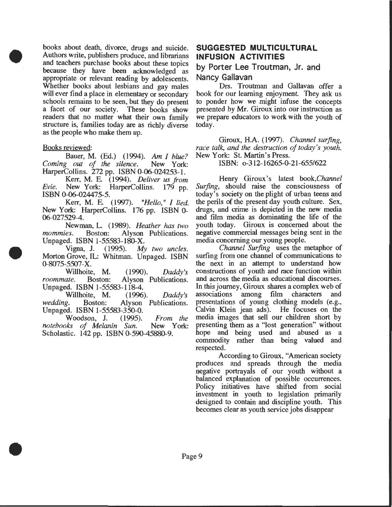books about death, divorce, drugs and suicide. Authors write, publishers produce, and librarians and teachers purchase books about these topics because they have been acknowledged as appropriate or relevant reading by adolescents. Whether books about lesbians and gay males will ever find a place in elementary or secondary schools remains to be seen, but they do present a facet of our society. These books show readers that no matter what their own family structure is, families today are as richly diverse as the people who make them up.

#### Books reviewed:

•

•

•

Bauer, M. (Ed.) (1994). *Am I blue? Coming out of the silence.* New York: HarperCollins. 272 pp. ISBN 0-06-024253-1.

Kerr, M. E (1994). *Deliver us from Evie.* New York: HarperCollins. 179 pp. ISBN 0-06-024475-5.

Kerr, M. E. ( 1997). *"Hello,* " *I lied.*  New York: HarperCollins. 176 pp. ISBN 0- 06-027529-4.

Newman, L. (1989). *Heather has two mommies.* Boston: Alyson Publications. Unpaged. ISBN 1-55583-180-X.

Vigna, J. (1995). *My two uncles .*  Morton Grove, IL: Whitman. Unpaged. ISBN 0-8075-5507-X.

Willhoite, M. (1990). *Daddy's roommate.* Boston: Alyson Publications. Unpaged. ISBN 1-55583-118-4.

Willhoite, M. (1996). *Daddy's wedding.* Boston: Alyson Publications. Unpaged. ISBN 1-55583-350-0.

Woodson, J. (1995). *From the notebooks of Melanin Sun.* New York: Scholastic. 142 pp. ISBN 0-590-45880-9.

### **SUGGESTED MULTICULTURAL INFUSION ACTIVITIES**

# **by Porter Lee Troutman, Jr. and Nancy Gallavan**

Drs. Troutman and Gallavan offer a book for our learning enjoyment. They ask us to ponder how we might infuse the concepts presented by Mr. Giroux into our instruction as we prepare educators to work with the youth of today.

Giroux, H.A. (1997). *Channel surfing,*  race talk, and the destruction of today's youth. New York: St. Martin's Press.

#### ISBN: o-312-16265-0-21-655/622

Henry Giroux's latest *book,Channel Surfing,* should raise the consciousness of today's society on the plight of urban teens and the perils of the present day youth culture. Sex, drugs, and crime is depicted in the new media and film media as dominating the life of the youth today. Giroux is concerned about the negative commercial messages being sent in the media concerning our young people.

*Channel Surfing* uses the metaphor of surfing from one channel of communications to the next in an attempt to understand how constructions of youth and race function within and across the media as educational discourses. In this journey, Giroux shares a complex web of associations among film characters and presentations of young clothing models (e.g., Calvin Klein jean ads). He focuses on the media images that sell our children short by presenting them as a "lost generation" without hope and being used and abused as a commodity rather than being valued and respected.

According to Giroux, "American society produces and spreads through the media negative portrayals of our youth without a balanced explanation of possible occurrences. Policy initiatives have shifted from social investment in youth to legislation primarily designed to contain and discipline youth. This becomes clear as youth service jobs disappear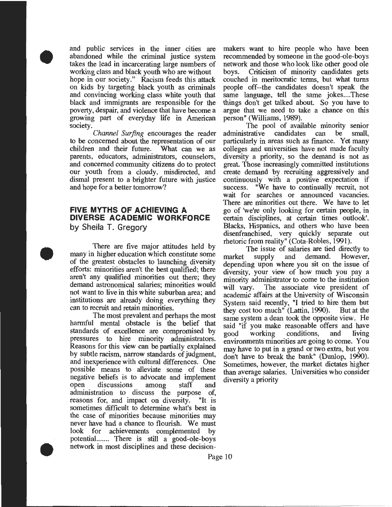and public services in the inner cities are abandoned while the criminal justice system takes the lead in incarcerating large numbers of working class and black youth who are without hope in our society." Racism feeds this attack on kids by targeting black youth as criminals and convincing working class white youth that black and immigrants are responsible for the poverty, despair, and violence that have become a growing part of everyday life in American society.

•

•

•

*Channel Surfing* encourages the reader to be concerned about the representation of our children and their future. parents, educators, administrators, counselors, and concerned community citizens do to protect our youth from a cloudy, misdirected, and dismal present to a brighter future with justice and hope for a better tomorrow?

#### **FIVE MYTHS OF ACHIEVING A DIVERSE ACADEMIC WORKFORCE**  by Sheila T. Gregory

There are five major attitudes held by many in higher education which constitute some of the greatest obstacles to launching diversity efforts: minorities aren't the best qualified; there aren't any qualified minorities out there; they demand astronomical salaries; minorities would not want to live in this white suburban area; and institutions are already doing everything they can to recruit and retain minorities.

The most prevalent and perhaps the most harmful mental obstacle is the belief that standards of excellence are compromised by pressures to hire minority administrators. Reasons for this view can be partially explained by subtle racism, narrow standards of judgment, and inexperience with cultural differences. One possible means to alleviate some of these negative beliefs is to advocate and implement open discussions among staff and administration to discuss the purpose of, reasons for, and impact on diversity. sometimes difficult to determine what's best in the case of minorities because minorities may never have had a chance to flourish. We must look for achievements complemented by potential....... There is still a good-ole-boys network in most disciplines and these decision-

makers want to hire people who have been recommended by someone in the good-ole-boys network and those who look like other good ole<br>boys. Criticism of minority candidates gets Criticism of minority candidates gets couched in meritocratic terms, but what turns people off--the candidates doesn't speak the same language, tell the same jokes....These things don't get talked about. So you have to argue that we need to take a chance on this person" (Williams, 1989).

The pool of available minority senior<br>trative candidates can be small, administrative candidates can particularly in areas such as finance. Yet many colleges and universities have not made faculty diversity a priority, so the demand is not as great. Those increasingly committed institutions create demand by recruiting aggressively and continuously with a positive expectation if success. "We have to continually recruit, not "We have to continually recruit, not wait for searches or announced vacancies. There are minorities out there. We have to let go of 'we're only looking for certain people, in certain disciplines, at certain times outlook'. Blacks, Hispanics, and others who have been disenfranchised, very quickly separate out rhetoric from reality" (Cota-Robles, 1991).

The issue of salaries are tied directly to<br>supply and demand. However, market supply and demand. depending upon where you sit on the issue of diversity, your view of how much you pay a minority administrator to come to the institution will vary. The associate vice president of academic affairs at the University of Wisconsin System said recently, "I tried to hire them but they cost too much" (Lattin, 1990). But at the same system a dean took the opposite view. He said "if you make reasonable offers and have<br>good working conditions, and living good working conditions, and living environments minorities are going to come. You may have to put in a grand or two extra, but you don't have to break the bank" (Dunlop, 1990). Sometimes, however, the market dictates higher than average salaries. Universities who consider diversity a priority

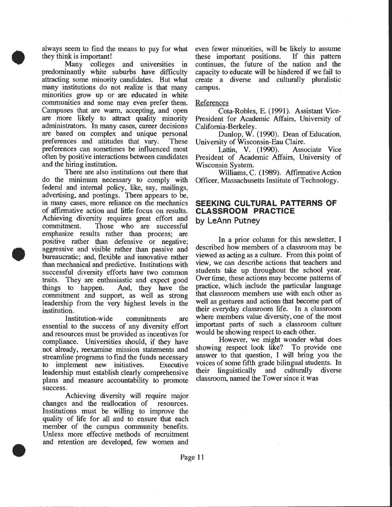always seem to find the means to pay for what they think is important!

•

•

•

Many colleges and universities in predominantly white suburbs have difficulty attracting some minority candidates. But what many institutions do not realize is that many minorities grow up or are educated in white communities and some may even prefer them. Campuses that are warm. accepting, and open are more likely to attract quality minority administrators. In many cases, career decisions are based on complex and unique personal preferences and attitudes that vary. These preferences can sometimes be influenced most often by positive interactions between candidates and the hiring institution.

There are also institutions out there that do the minimum necessary to comply with federal and internal policy, like, say, mailings, advertising, and postings. There appears to be, in many cases, more reliance on the mechanics of affirmative action and little focus on results. Achieving diversity requires great effort and commitment. Those who are successful emphasize results rather than process; are positive rather than defensive or negative; aggressive and visible rather than passive and bureaucratic; and, flexible and innovative rather than mechanical and predictive. Institutions with successful diversity efforts have two common traits. They are enthusiastic and expect good things to happen. And, they have the commitment and support, as well as strong leadership from the very highest levels in the institution.

Institution-wide commitments are essential to the success of any diversity effort and resources must be provided as incentives for compliance. Universities should, if they have not already, reexamine mission statements and streamline programs to find the funds necessary to implement new initiatives. Executive leadership must establish clearly comprehensive plans and measure accountability to promote success.

Achieving diversity will require major changes and the reallocation of resources. Institutions must be willing to improve the quality of life for all and to ensure that each member of the campus community benefits. Unless more effective methods of recruitment and retention are developed, few women and

even fewer minorities, will be likely to assume these important positions. If this pattern continues, the future of the nation and the capacity to educate will be hindered if we fail to create a diverse and culturally pluralistic campus.

#### References

Cota-Robles, E. (1991). Assistant Vice-President for Academic Affairs, University of California-Berkeley.

Dunlop, W. (1990). Dean of Education, University of Wisconsin-Eau Claire.

Lattin, V. (1990). Associate Vice President of Academic Affairs, University of Wisconsin System.

Williams, C. (1989). Affirmative Action Officer, Massachusetts Institute of Technology.

#### **SEEKING CULTURAL PATTERNS OF CLASSROOM PRACTICE by LeAnn Putney**

In a prior column for this newsletter, I described how members of a classroom may be viewed as acting as a culture. From this point of view, we can describe actions that teachers and students take up throughout the school year. Over time, these actions may become patterns of practice, which include the particular language that classroom members use with each other as well as gestures and actions that become part of their everyday classroom life. In a classroom where members value diversity, one of the most important parts of such a classroom culture would be showing respect to each other.

However, we might wonder what does showing respect look like? To provide one answer to that question, I will bring you the voices of some fifth grade bilingual students. In their linguistically and culturally diverse classroom, named the Tower since it was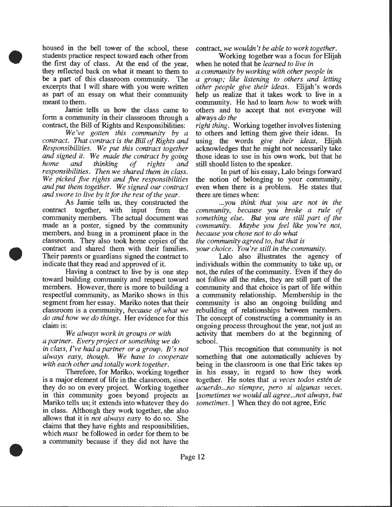housed in the bell tower of the school, these students practice respect toward each other from the first day of class. At the end of the year, they reflected back on what it meant to them to be a part of this classroom community. The excerpts that I will share with you were written as part of an essay on what their community meant to them.

•

•

•

Jamie tells us how the class came to form a community in their classroom through a contract, the Bill of Rights and Responsibilities:

*We've gotten this community by a contract. That contract is the Bill of Rights and Responsibilities. We put this contract together and signed it. We made the contract by going home and thinking of rights and responsibilities. Then we shared them in class. We picked five rights and five responsibilities and put them together. We signed our contract and swore to live by it for the rest of the year.* 

As Jamie tells us, they constructed the contract together, with input from the community members. The actual document was made as a poster, signed by the community members, and hung in a prominent place in the classroom. They also took home copies of the contract and shared them with their families. Their parents or guardians signed the contract to indicate that they read and approved of it.

Having a contract to live by is one step toward building community and respect toward members. However, there is more to building a respectful community, as Mariko shows in this segment from her essay. Mariko notes that their classroom is a community, *because of what we do and how we do things.* Her evidence for this claim is:

*We always work in groups or with a partner. Every project or something we do in class, I've* had *a partner or a group. It's not always easy, though. We have to cooperate with each other and totally work together.* 

Therefore, for Mariko, working together is a major element of life in the classroom, since they do so on every project. Working together in this community goes beyond projects as Mariko tells us; it extends into whatever they do in class. Although they work together, she also allows that it is *not always easy* to do so. She claims that they have rights and responsibilities, which *must* be followed in order for them to be a community because if they did not have the contract, *we wouldn't be able to work together .* 

Working together was a focus for Elijah when he noted that he *learned to live in a community by working with other people in a group; like listening to others and letting other people give their ideas.* Elijah's words help us realize that it takes work to live in a community. He had to learn *how* to work with others and to accept that not everyone will always *do the* 

*right thing.* Working together involves listening to others and letting them give their ideas. In using the words *give their ideas,* Elijah acknowledges that he might not necessarily take those ideas to use in his own work, but that he still should listen to the speaker.

In part of his essay, Lalo brings forward the notion of belonging to your community, even when there is a problem. He states that there are times when:

*... you think that you are not in the community, because you broke a rule of something else. But you are still part of the community. Maybe you feel like you're not, because you chose not to do what the community agreed to, but that is your choice. You're still in the community .* 

Lalo also illustrates the agency of individuals within the community to take up, or not, the rules of the community. Even if they do not follow all the rules, they are still part of the community and that choice is part of life within a community relationship. Membership in the community is also an ongoing building and rebuilding of relationships between members. The concept of constructing a community is an ongoing process throughout the year, not just an activity that members do at the beginning of school.

This recognition that community is not something that one automatically achieves by being in the classroom is one that Eric takes up in his essay, in regard to how they work together. He notes that *a veces todos esten de acuerdo ... no siempre, pero si algunas veces. [sometimes we would all agree ... not always, but sometimes.* When they do not agree, Eric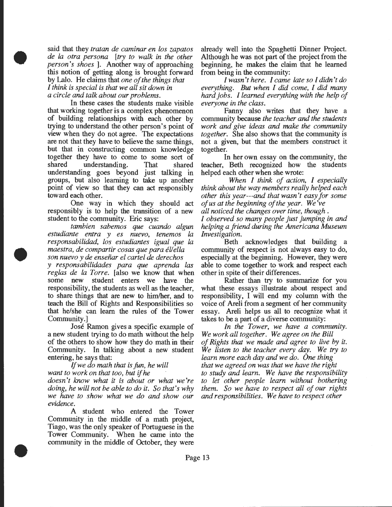said that they *tratan de caminar en los zapatos de Ia otra persona* [try *to walk in the other person's shoes].* Another way of approaching this notion of getting along is brought forward by Lalo. He claims that *one of the things that I think is special is that we all sit down in a circle and talk about our problems.* 

•

•

•

In these cases the students make visible that working together is a complex phenomenon of building relationships with each other by trying to understand the other person's point of view when they do not agree. The expectations are not that they have to believe the same things, but that in constructing common knowledge together they have to come to some sort of shared understanding. That shared understanding goes beyond just talking in groups, but also learning to take up another point of view so that they can act responsibly toward each other.

One way in which they should act responsibly is to help the transition of a new student to the community. Eric says:

*tambien sabemos que cuando algun estudiante entra y es nuevo, tenemos Ia responsabilidad, los estudiantes igual que Ia maestra, de compartir cosas que para* ell *ella son nuevo y de ensefiar el cartel de derechos* 

*y responsabilidades para que aprenda las reg/as de Ia Torre.* [also we know that when some new student enters we have the responsibility, the students as well as the teacher, to share things that are new to him/her, and to teach the Bill of Rights and Responsibilities so that he/she can learn the rules of the Tower Community.]

Jose Ramon gives a specific example of a new student trying to do math without the help of the others to show how they do math in their Community. In talking about a new student entering, he says that:

If *we do math that is fun, he will want to work on that too, but* if *he* 

*doesn't know what it is about or what we're doing, he will not be able to do it. So that's why we have to show what we do and show our evidence.* 

A student who entered the Tower Community in the middle of a math project, Tiago, was the only speaker of Portuguese in the Tower Community. When he came into the community in the middle of October, they were already well into the Spaghetti Dinner Project. Although he was not part of the project from the beginning, he makes the claim that he learned from being in the community:

*I wasn't here. I came late so I didn't do everything. But when I did come, I did many hard jobs. /learned everything with the help of everyone in the class.* 

Fanny also writes that they have a community because *the teacher and the students work and give ideas* and *make the community together.* She also shows that the community is not a given, but that the members construct it together.

In her own essay on the community, the teacher, Beth recognized how the students helped each other when she wrote:

*When I think of action, I especially think about the way members really helped each other this year---and that wasn't easy for some of us at the beginning of the year. We've all noticed the changes over time, though* .

*I observed so many people just jumping in and helping a friend during the Americana Museum Investigation.* 

Beth acknowledges that building a community of respect is not always easy to do, especially at the beginning. However, they were able to come together to work and respect each other in spite of their differences.

Rather than try to summarize for you what these essays illustrate about respect and responsibility, I will end my column with the voice of Areli from a segment of her community essay. Areli helps us all to recognize what it takes to be a part of a diverse community:

*In the Tower, we have a community. We work all together. We agree on the Bill of Rights that we made and agree to live by it. We listen to the teacher every day. We* try *to learn more each day and we do. One thing that we agreed on was that we have the right to study and learn. We have the responsibility to let other people learn without bothering them. So we have to respect all of our rights*  and *responsibilities. We have to respect other*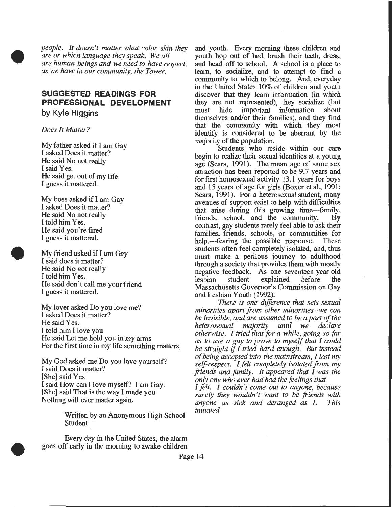*people. It doesn't matter what color skin they are or which language they speak. We all are human beings and we need to have respect, as we have in our community, the Tower.* 

# **SUGGESTED READINGS FOR PROFESSIONAL DEVELOPMENT by Kyle Higgins**

*Does It Matter?* 

•

•

•

My father asked if I am Gay I asked Does it matter? He said No not really I said Yes. He said get out of my life I guess it mattered.

My boss asked if I am Gay I asked Does it matter? He said No not really I told him Yes. He said you're fired I guess it mattered.

My friend asked if I am Gay I said does it matter? He said No not really I told him Yes. He said don't call me your friend I guess it mattered.

My lover asked Do you love me? I asked Does it matter? He said Yes. I told him I love you He said Let me hold you in my arms For the first time in my life something matters,

My God asked me Do you love yourself? I said Does it matter? [She] said Yes I said How can I love myself? I am Gay. [She] said That is the way I made you Nothing will ever matter again.

> Written by an Anonymous High School Student

Every day in the United States, the alarm goes off early in the morning to awake children

and youth. Every morning these children and youth hop out of bed, brush their teeth, dress, and head off to school. A school is a place to learn, to socialize, and to attempt to find a community to which to belong. And, everyday in the United States 10% of children and youth discover that they learn information (in which they are not represented), they socialize (but must hide important information about themselves and/or their families), and they find that the community with which they most identify is considered to be aberrant by the majority of the population.

Students who reside within our care begin to realize their sexual identities at a young age (Sears, 1991). The mean age of same sex attraction has been reported to be 9.7 years and for first homosexual activity 13.1 years for boys and 15 years of age for girls (Boxer et al., 1991; Sears, 1991). For a heterosexual student, many avenues of support exist to help with difficulties that arise during this growing time--farmly, friends, school, and the community. By contrast, gay students rarely feel able to ask their families, friends, schools, or commumties for help,---fearing the possible response. These students often feel completely isolated, and, thus must make a perilous journey to adulthood through a society that provides them with mostly negative feedback. As one seventeen-year-old lesbian student explained before the Massachusetts Governor's Commission on Gay and Lesbian Youth (1992):

*There is one difference that sets sexual minorities apart from other minorities--we can be invisible, and are assumed to be a part of the heterosexual majority until we declare otherwise. I tried that for a while, going so far as to use a guy to prove to myself that I could be straight* if *I tried hard enough. But instead of being accepted into the mainstream, I lost my self-respect. I felt completely isolated from my friends and family. It appeared that I was the only one who ever had* had *the feelings that* 

*I felt. I couldn't come out to anyone, because*  surely they wouldn't want to be friends with *anyone as sick and deranged as I. This initiated* 

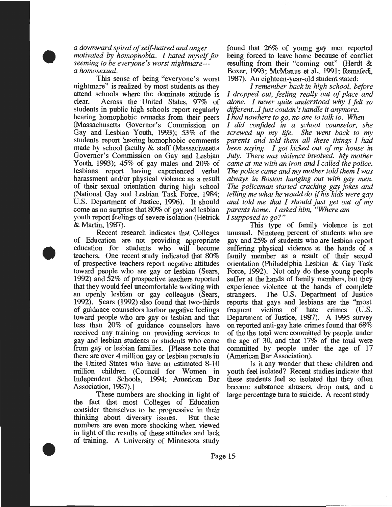*a downward spiral of self-hatred and anger motivated by homophobia. I hated myself for seeming to be everyone's worst nightmare-- a homosexual.* 

•

•

•

This sense of being "everyone's worst nightmare" is realized by most students as they attend schools where the dominate attitude is<br>clear. Across the United States 97% of Across the United States, 97% of students in public high schools report regularly hearing homophobic remarks from their peers (Massachusetts Governor's Commission on Gay and Lesbian Youth, 1993); 53% of the students report hearing homophobic comments made by school faculty & staff (Massachusetts Governor's Commission on Gay and Lesbian Youth, 1993); 45% of gay males and 20% of lesbians report having experienced verbal harassment and/or physical violence as a result of their sexual orientation during high school (National Gay and Lesbian Task Force, 1984; U.S. Department of Justice, 1996). It should come as no surprise that 80% of gay and lesbian youth report feelings of severe isolation (Hetrick & Martin, 1987).

Recent research indicates that Colleges of Education are not providing appropriate education for students who will become teachers. One recent study indicated that 80% of prospective teachers report negative attitudes toward people who are gay or lesbian (Sears, 1992) and 52% of prospective teachers reported that they would feel uncomfortable working with an openly lesbian or gay colleague (Sears, 1992). Sears (1992) also found that two-thirds of guidance counselors harbor negative feelings toward people who are gay or lesbian and that less than 20% of guidance counselors have received any training on providing services to gay and lesbian students or students who come from gay or lesbian families. [Please note that there are over 4 million gay or lesbian parents in the United States who have an estimated 8-10 million children (Council for Women in Independent Schools, 1994; American Bar Association, 1987).]

These numbers are shocking in light of the fact that most Colleges of Education consider themselves to be progressive in their thinking about diversity issues. But these numbers are even more shocking when viewed in light of the results of these attitudes and lack of training. A University of Minnesota study

found that 26% of young gay men reported being forced to leave home because of conflict resulting from their "coming out" (Herdt & Boxer, 1993; McManus et al., 1991; Remafedi, 1987). An eighteen-year-old student stated:

*I remember back in high school, before I dropped out, feeling really out of place and alone. I never quite understood why I felt so different ... / just couldn't handle it anymore. I* had *nowhere to go, no one to talk to. When* 

*I did confided in a school counselor, she screwed up my life. She went back to my parents and told them all these things I* had *been saying. I got kicked out of my house in July. There was violence involved. My mother came at me with an iron and I called the police.*  The *police came and my mother told them I was always in Boston hanging out with gay men. The policeman started cracking gay jokes and telling me what he would* do if *his kids were gay and told me that I should just get out of my parents home. I asked him, "Where am I supposed to go?"* 

This type of family violence is not unusual. Nineteen percent of students who are gay and 25% of students who are lesbian report suffering physical violence at the hands of a family member as a result of their sexual orientation (Philadelphia Lesbian & Gay Task Force, 1992). Not only do these young people suffer at the hands of family members, but they experience violence at the hands of complete strangers. The U.S. Department of Justice reports that gays and lesbians are the "most<br>frequent victims of hate crimes (U.S. frequent victims of hate crimes (U.S. Department of Justice, 1987). A 1995 survey on reported anti-gay hate crimes found that 68% of the the total were committed by people under the age of 30, and that 17% of the total were committed by people under the age of 17 (American Bar Association).

Is it any wonder that these children and youth feel isolated? Recent studies indicate that these students feel so isolated that they often become substance abusers, drop outs, and a large percentage turn to suicide.  $\overline{A}$  recent study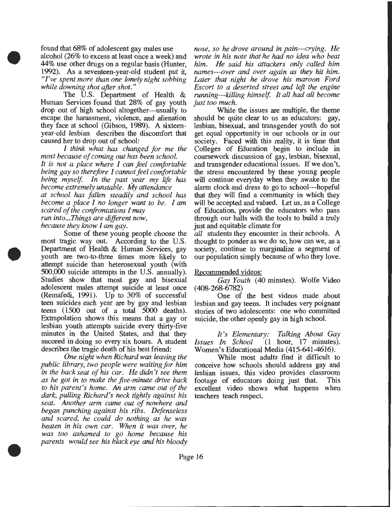found that 68% of adolescent gay males use alcohol (26% to excess at least once a week) and 44% use other drugs on a regular basis (Hunter, 1992). As a seventeen-year-old student put it, *"I've spent more than one lonely night sobbing while downing shot after shot."* 

•

•

•

The U.S. Department of Health & Human Services found that 28% of gay youth drop out of high school altogether---usually to escape the harassment, violence, and alienation they face at school (Gibson, 1989). A sixteenyear-old lesbian describes the discomfort that caused her to drop out of school:

*I think what* has *changed for me the most because of coming out* has *been school. It is not a place where I can feel comfortable being gay so therefore I cannot feel comfortable being myself. In the past year my life* has *become extremely unstable. My attendance at school* has *fallen steadily and school* has *become a place I no longer want to be. I am scared of the confrontations I* may

*run into ... Things are different now, because they know I am gay.* 

Some of these young people choose the most tragic way out. According to the U.S. Department of Health & Human Services, gay youth are two-to-three times more likely to attempt suicide than heterosexual youth (with 500,000 suicide attempts in the U.S. annually). Studies show that most gay and bisexual adolescent males attempt suicide at least once (Remafedi, 1991). Up to 30% of successful teen suicides each year are by gay and lesbian teens (1500 out of a total 5000 deaths). Extrapolation shows this means that a gay or lesbian youth attempts suicide every thirty-five minutes in the United States, and that they succeed in doing so every six hours. A student describes the tragic death of his best friend:

*One night when Richard was leaving the public library, two people were waiting for him in the back seat of his car. He didn't see them as he got in to make the five-minute drive back to his parent's home. An arm came out of the dark, pulling Richard's neck tightly against his seat. Another arm came out of nowhere and began punching against his ribs. Defenseless and scared, he could do nothing as he was beaten in his own car. When it was over, he was too ashamed to go home because his parents would see his black eye* and *his bloody*  *nose, so he drove around in pain---crying. He wrote in his note that he* had *no idea who beat him. He said his attackers only called him names---over and over again as they hit him. Later that night he drove his maroon Ford Escort to a deserted street and left the engine running---killing himself. It all* had *all become just too much.* 

While the issues are multiple, the theme should be quite clear to us as educators: gay, lesbian, bisexual, and transgender youth do not get equal opportunity in our schools or in our society. Faced with this reality, it is time that Colleges of Education begin to include in coursework discussion of gay, lesbian, bisexual, and trans gender educational issues. If we don't, the stress encountered by these young people will continue everyday when they awake to the alarm clock and dress to go to school---hopeful that they will find a community in which they will be accepted and valued. Let us, as a College of Education, provide the educators who pass through our halls with the tools to build a truly just and equitable climate for

*all* students they encounter in their schools. A thought to ponder as we do so, how can we, as a society, continue to marginalize a segment of our population simply because of who they love.

#### Recommended videos:

*Gay Youth* (40 minutes). Wolfe Video ( 408-268-6782)

One of the best videos made about lesbian and gay teens. It includes very poignant stories of two adolescents: one who committed suicide, the other openly gay in high school.

*It's Elementary: Talking About Gay Issues In School* (1 hour, 17 minutes). *Issues In School* (1 hour, 17 minutes). Women's Educational Media (415-641-4616).

While most adults find it difficult to conceive how schools should address gay and lesbian issues, this video provides classroom footage of educators doing just that. This excellent video shows what happens when teachers teach respect.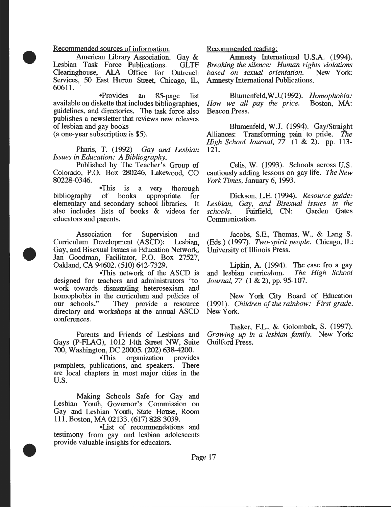#### Recommended sources of information:

•

•

•

American Library Association. Gay &<br>Task Force Publications. GLTF Lesbian Task Force Publications. Clearinghouse, AlA Office for Outreach Services, 50 East Huron Street, Chicago, IL, 60611.

•Provides an 85-page list available on diskette that includes bibliographies, guidelines, and directories. The task force also publishes a newsletter that reviews new releases of lesbian and gay books

(a one-year subscription is \$5).

Pharis, T. (1992) *Gay and Lesbian Issues in Education: A Bibliography.* 

Published by The Teacher's Group of Colorado, P.O. Box 280246, Lakewood, CO 80228-0346.

•This is a very thorough bibliography of books appropriate for elementary and secondary school libraries. It also includes lists of books & videos for educators and parents.

Association for Supervision and Curriculum Development (ASCD): Lesbian, Gay, and Bisexual Issues in Education Network. Jan Goodman, Facilitator, P.O. Box 27527, Oakland, CA 94602. (510) 642-7329.

•This network of the ASCD is designed for teachers and administrators "to work towards dismantling heterosexism and homophobia in the curriculum and policies of<br>our schools." They provide a resource They provide a resource directory and workshops at the annual ASCD conferences.

Gays (P-FLAG), 1012 14th Street NW, Suite 700, Washington, DC 20005. (202) 638-4200.

•This organization provides pamphlets, publications, and speakers. There are local chapters in most major cities in the u.s.

Making Schools Safe for Gay and Lesbian Youth, Governor's Commission on Gay and Lesbian Youth, State House, Room 111, Boston, MA 02133. (617) 828-3039.

•List of recommendations and testimony from gay and lesbian adolescents provide valuable insights for educators .

#### Recommended reading:

Amnesty International U.S.A. (1994). *Breaking the silence: Human rights violations*   $based$  *on sexual orientation.* Amnesty International Publications.

Blumenfeld,W.J.( 1992). *Homophobia: How we all pay the price.* Beacon Press.

Blumenfeld, W.J. (1994). Gay/Straight Alliances: Transforming pain to pride. *The High School Journal,* 77 (1 & 2). pp. 113- 121.

Celis, W. (1993). Schools across U.S. cautiously adding lessons on gay life. *The New York Times,* January 6, 1993.

Dickson, L.E. (1994). *Resource guide: Lesbian, Gay,* and *Bisexual issues in the*  Fairfield, CN: Communication.

Jacobs, S.E., Thomas, W., & Lang S. (Eds.) (1997). *Two-spirit people.* Chicago, IL: University of Illinois Press .

Lipkin, A. (1994). The case fro a gay and lesbian curriculum. *The High School Journal, 77* (1 & 2), pp. 95-107.

New York City Board of Education (1991). *Children of the rainbow: First grade.*  New York.

Tasker, F.L., & Golombok, S. (1997). Parents and Friends of Lesbians and *Growing up in a lesbian family.* New York: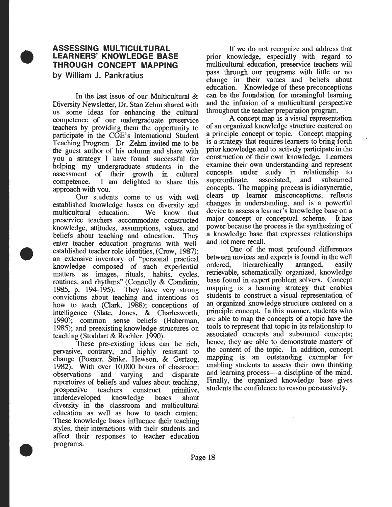### **ASSESSING MULTICULTURAL LEARNERS' KNOWLEDGE BASE THROUGH CONCEPT MAPPING by William J. Pankratius**

•

•

•

In the last issue of our Multicultural & Diversity Newsletter, Dr. Stan Zehm shared with us some ideas for enhancing the cultural competence of our undergraduate preservice teachers by providing them the opportunity to participate in the COE's International Student Teaching Program. Dr. Zehm invited me to be the guest author of his column and share with you a strategy I have found successful for helping my undergraduate students in the assessment of their growth in cultural competence. I am delighted to share this approach with you.

Our students come to us with well established knowledge bases on diversity and multicultural education. We know that preservice teachers accommodate constructed knowledge, attitudes, assumptions, values, and beliefs about teaching and education. They enter teacher education programs with wellestablished teacher role identities, (Crow, 1987); an extensive inventory of "personal practical knowledge composed of such experiential matters as images, rituals, habits, cycles, routines, and rhythms" (Connelly & Clandinin, 1985, p. 194-195). They have very strong convictions about teaching and intentions on how to teach (Clark, 1988); conceptions of intelligence (Slate, Jones, & Charlesworth, 1990); common sense beliefs (Haberman, 1985); and preexisting knowledge structures on teaching (Stoddart & Roehler, 1990).

. These pre-existing ideas can be rich, pervasive, contrary, and highly resistant to change (Posner, Strike, Hewson, & Gertzog, 1982). With over 10,000 hours of classroom observations and varying and disparate repertoires of beliefs and values about teaching, prospective teachers construct primitive, underdeveloped knowledge bases about diversity in the classroom and multicultural education as well as how to teach content. These knowledge bases influence their teaching styles, their interactions with their students and affect their responses to teacher education programs .

If we do not recognize and address that prior knowledge, especially with regard to multicultural education, preservice teachers will pass through our programs with little or no change in their values and beliefs about education. Knowledge of these preconceptions can be the foundation for meaningful learning and the infusion of a multicultural perspective throughout the teacher preparation program.

A concept map is a visual representation of an organized knowledge structure centered on a principle concept or topic. Concept mapping is a strategy that requires learners to bring forth prior knowledge and to actively participate in the construction of their own knowledge. Learners examine their own understanding and represent concepts under study in relationship to superordinate, associated, and subsumed concepts. The mapping process is idiosyncratic, clears up learner misconceptions, reflects changes in understanding, and is a powerful device to assess a learner's knowledge base on a major concept or conceptual scheme. It has power because the process is the synthesizing of a knowledge base that expresses relationships and not mere recall.

One of the most profound differences between novices and experts is found in the well<br>ordered, hierarchically arranged, easily ordered, hierarchically arranged, easily retrievable, schematically organized, knowledge base found in expert problem solvers. Concept mapping is a learning strategy that enables students to construct a visual representation of an organized knowledge structure centered on a principle concept. In this manner, students who are able to map the concepts of a topic have the tools to represent that topic in its relationship to associated concepts and subsumed concepts; hence, they are able to demonstrate mastery of the content of the topic. In addition, concept mapping is an outstanding exemplar for enabling students to assess their own thinking and learning process—a discipline of the mind. Finally, the organized knowledge base gives students the confidence to reason persuasively.